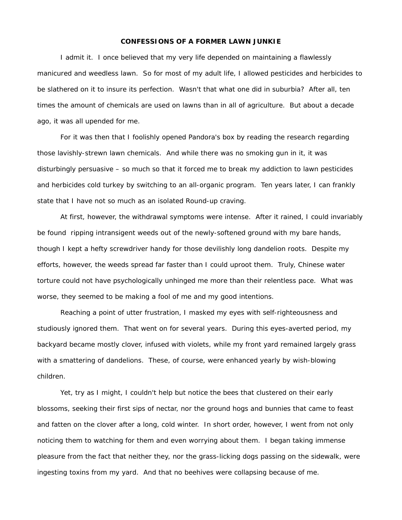## **CONFESSIONS OF A FORMER LAWN JUNKIE**

I admit it. I once believed that my very life depended on maintaining a flawlessly manicured and weedless lawn. So for most of my adult life, I allowed pesticides and herbicides to be slathered on it to insure its perfection. Wasn't that what one did in suburbia? After all, ten times the amount of chemicals are used on lawns than in all of agriculture. But about a decade ago, it was all upended for me.

For it was then that I foolishly opened Pandora's box by reading the research regarding those lavishly-strewn lawn chemicals. And while there was no smoking gun in it, it was disturbingly persuasive – so much so that it forced me to break my addiction to lawn pesticides and herbicides cold turkey by switching to an all-organic program. Ten years later, I can frankly state that I have not so much as an isolated Round-up craving.

At first, however, the withdrawal symptoms were intense. After it rained, I could invariably be found ripping intransigent weeds out of the newly-softened ground with my bare hands, though I kept a hefty screwdriver handy for those devilishly long dandelion roots. Despite my efforts, however, the weeds spread far faster than I could uproot them. Truly, Chinese water torture could not have psychologically unhinged me more than their relentless pace. What was worse, they seemed to be making a fool of me and my good intentions.

Reaching a point of utter frustration, I masked my eyes with self-righteousness and studiously ignored them. That went on for several years. During this eyes-averted period, my backyard became mostly clover, infused with violets, while my front yard remained largely grass with a smattering of dandelions. These, of course, were enhanced yearly by wish-blowing children.

Yet, try as I might, I couldn't help but notice the bees that clustered on their early blossoms, seeking their first sips of nectar, nor the ground hogs and bunnies that came to feast and fatten on the clover after a long, cold winter. In short order, however, I went from not only noticing them to watching for them and even worrying about them. I began taking immense pleasure from the fact that neither they, nor the grass-licking dogs passing on the sidewalk, were ingesting toxins from my yard. And that no beehives were collapsing because of me.